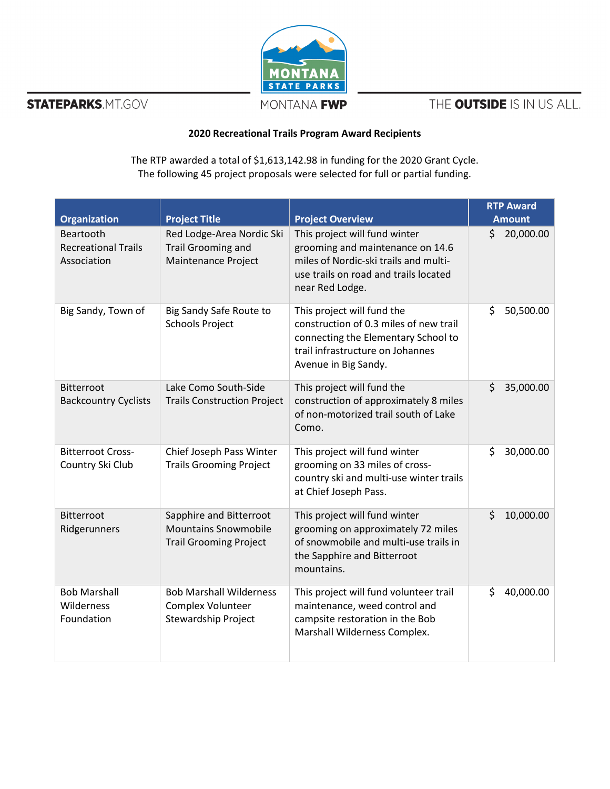

**STATEPARKS.MT.GOV** 

THE OUTSIDE IS IN US ALL.

## **2020 Recreational Trails Program Award Recipients**

The RTP awarded a total of \$1,613,142.98 in funding for the 2020 Grant Cycle. The following 45 project proposals were selected for full or partial funding.

| <b>Organization</b>                                    | <b>Project Title</b>                                                                    | <b>Project Overview</b>                                                                                                                                                 | <b>RTP Award</b><br><b>Amount</b> |
|--------------------------------------------------------|-----------------------------------------------------------------------------------------|-------------------------------------------------------------------------------------------------------------------------------------------------------------------------|-----------------------------------|
| Beartooth<br><b>Recreational Trails</b><br>Association | Red Lodge-Area Nordic Ski<br>Trail Grooming and<br>Maintenance Project                  | This project will fund winter<br>grooming and maintenance on 14.6<br>miles of Nordic-ski trails and multi-<br>use trails on road and trails located<br>near Red Lodge.  | \$<br>20,000.00                   |
| Big Sandy, Town of                                     | Big Sandy Safe Route to<br><b>Schools Project</b>                                       | This project will fund the<br>construction of 0.3 miles of new trail<br>connecting the Elementary School to<br>trail infrastructure on Johannes<br>Avenue in Big Sandy. | \$<br>50,500.00                   |
| <b>Bitterroot</b><br><b>Backcountry Cyclists</b>       | Lake Como South-Side<br><b>Trails Construction Project</b>                              | This project will fund the<br>construction of approximately 8 miles<br>of non-motorized trail south of Lake<br>Como.                                                    | \$<br>35,000.00                   |
| <b>Bitterroot Cross-</b><br>Country Ski Club           | Chief Joseph Pass Winter<br><b>Trails Grooming Project</b>                              | This project will fund winter<br>grooming on 33 miles of cross-<br>country ski and multi-use winter trails<br>at Chief Joseph Pass.                                     | \$<br>30,000.00                   |
| <b>Bitterroot</b><br>Ridgerunners                      | Sapphire and Bitterroot<br><b>Mountains Snowmobile</b><br><b>Trail Grooming Project</b> | This project will fund winter<br>grooming on approximately 72 miles<br>of snowmobile and multi-use trails in<br>the Sapphire and Bitterroot<br>mountains.               | \$<br>10,000.00                   |
| <b>Bob Marshall</b><br>Wilderness<br>Foundation        | <b>Bob Marshall Wilderness</b><br>Complex Volunteer<br>Stewardship Project              | This project will fund volunteer trail<br>maintenance, weed control and<br>campsite restoration in the Bob<br>Marshall Wilderness Complex.                              | Ś<br>40,000.00                    |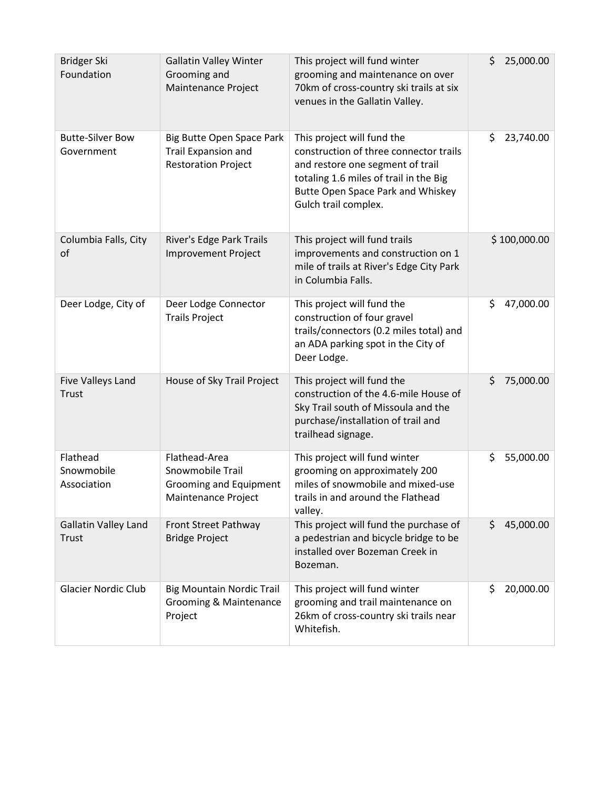| <b>Bridger Ski</b><br>Foundation      | <b>Gallatin Valley Winter</b><br>Grooming and<br>Maintenance Project                      | This project will fund winter<br>grooming and maintenance on over<br>70km of cross-country ski trails at six<br>venues in the Gallatin Valley.                                                                         | \$<br>25,000.00 |
|---------------------------------------|-------------------------------------------------------------------------------------------|------------------------------------------------------------------------------------------------------------------------------------------------------------------------------------------------------------------------|-----------------|
| <b>Butte-Silver Bow</b><br>Government | Big Butte Open Space Park<br>Trail Expansion and<br><b>Restoration Project</b>            | This project will fund the<br>construction of three connector trails<br>and restore one segment of trail<br>totaling 1.6 miles of trail in the Big<br><b>Butte Open Space Park and Whiskey</b><br>Gulch trail complex. | \$<br>23,740.00 |
| Columbia Falls, City<br>of            | River's Edge Park Trails<br><b>Improvement Project</b>                                    | This project will fund trails<br>improvements and construction on 1<br>mile of trails at River's Edge City Park<br>in Columbia Falls.                                                                                  | \$100,000.00    |
| Deer Lodge, City of                   | Deer Lodge Connector<br><b>Trails Project</b>                                             | This project will fund the<br>construction of four gravel<br>trails/connectors (0.2 miles total) and<br>an ADA parking spot in the City of<br>Deer Lodge.                                                              | \$<br>47,000.00 |
| Five Valleys Land<br>Trust            | House of Sky Trail Project                                                                | This project will fund the<br>construction of the 4.6-mile House of<br>Sky Trail south of Missoula and the<br>purchase/installation of trail and<br>trailhead signage.                                                 | \$<br>75,000.00 |
| Flathead<br>Snowmobile<br>Association | Flathead-Area<br>Snowmobile Trail<br><b>Grooming and Equipment</b><br>Maintenance Project | This project will fund winter<br>grooming on approximately 200<br>miles of snowmobile and mixed-use<br>trails in and around the Flathead<br>valley.                                                                    | \$<br>55,000.00 |
| <b>Gallatin Valley Land</b><br>Trust  | Front Street Pathway<br><b>Bridge Project</b>                                             | This project will fund the purchase of<br>a pedestrian and bicycle bridge to be<br>installed over Bozeman Creek in<br>Bozeman.                                                                                         | \$<br>45,000.00 |
| <b>Glacier Nordic Club</b>            | <b>Big Mountain Nordic Trail</b><br>Grooming & Maintenance<br>Project                     | This project will fund winter<br>grooming and trail maintenance on<br>26km of cross-country ski trails near<br>Whitefish.                                                                                              | \$<br>20,000.00 |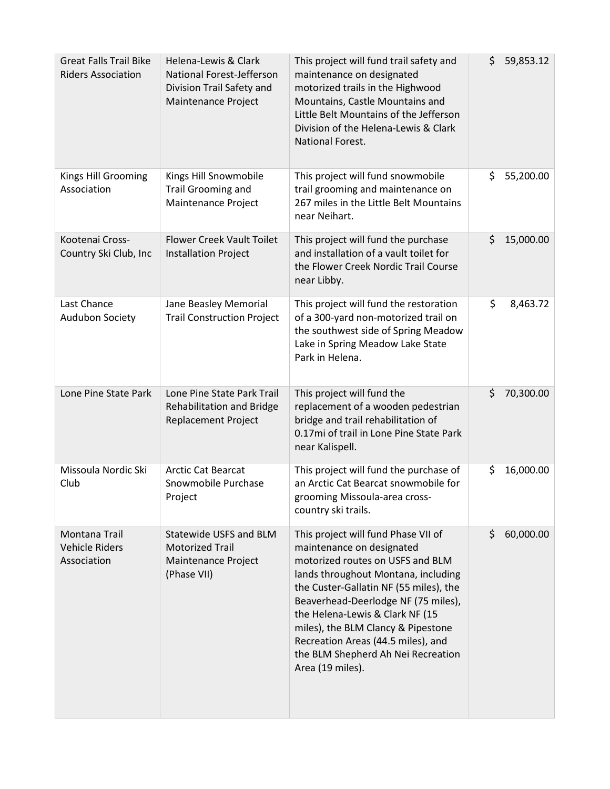| <b>Great Falls Trail Bike</b><br><b>Riders Association</b> | Helena-Lewis & Clark<br>National Forest-Jefferson<br>Division Trail Safety and<br>Maintenance Project | This project will fund trail safety and<br>maintenance on designated<br>motorized trails in the Highwood<br>Mountains, Castle Mountains and<br>Little Belt Mountains of the Jefferson<br>Division of the Helena-Lewis & Clark<br>National Forest.                                                                                                                                                     | Ś. | 59,853.12 |
|------------------------------------------------------------|-------------------------------------------------------------------------------------------------------|-------------------------------------------------------------------------------------------------------------------------------------------------------------------------------------------------------------------------------------------------------------------------------------------------------------------------------------------------------------------------------------------------------|----|-----------|
| Kings Hill Grooming<br>Association                         | Kings Hill Snowmobile<br><b>Trail Grooming and</b><br>Maintenance Project                             | This project will fund snowmobile<br>trail grooming and maintenance on<br>267 miles in the Little Belt Mountains<br>near Neihart.                                                                                                                                                                                                                                                                     | \$ | 55,200.00 |
| Kootenai Cross-<br>Country Ski Club, Inc                   | <b>Flower Creek Vault Toilet</b><br><b>Installation Project</b>                                       | This project will fund the purchase<br>and installation of a vault toilet for<br>the Flower Creek Nordic Trail Course<br>near Libby.                                                                                                                                                                                                                                                                  | \$ | 15,000.00 |
| Last Chance<br><b>Audubon Society</b>                      | Jane Beasley Memorial<br><b>Trail Construction Project</b>                                            | This project will fund the restoration<br>of a 300-yard non-motorized trail on<br>the southwest side of Spring Meadow<br>Lake in Spring Meadow Lake State<br>Park in Helena.                                                                                                                                                                                                                          | \$ | 8,463.72  |
| Lone Pine State Park                                       | Lone Pine State Park Trail<br>Rehabilitation and Bridge<br><b>Replacement Project</b>                 | This project will fund the<br>replacement of a wooden pedestrian<br>bridge and trail rehabilitation of<br>0.17mi of trail in Lone Pine State Park<br>near Kalispell.                                                                                                                                                                                                                                  | \$ | 70,300.00 |
| Missoula Nordic Ski<br>Club                                | Arctic Cat Bearcat<br>Snowmobile Purchase<br>Project                                                  | This project will fund the purchase of<br>an Arctic Cat Bearcat snowmobile for<br>grooming Missoula-area cross-<br>country ski trails.                                                                                                                                                                                                                                                                | \$ | 16,000.00 |
| Montana Trail<br>Vehicle Riders<br>Association             | <b>Statewide USFS and BLM</b><br><b>Motorized Trail</b><br>Maintenance Project<br>(Phase VII)         | This project will fund Phase VII of<br>maintenance on designated<br>motorized routes on USFS and BLM<br>lands throughout Montana, including<br>the Custer-Gallatin NF (55 miles), the<br>Beaverhead-Deerlodge NF (75 miles),<br>the Helena-Lewis & Clark NF (15<br>miles), the BLM Clancy & Pipestone<br>Recreation Areas (44.5 miles), and<br>the BLM Shepherd Ah Nei Recreation<br>Area (19 miles). | Ś. | 60,000.00 |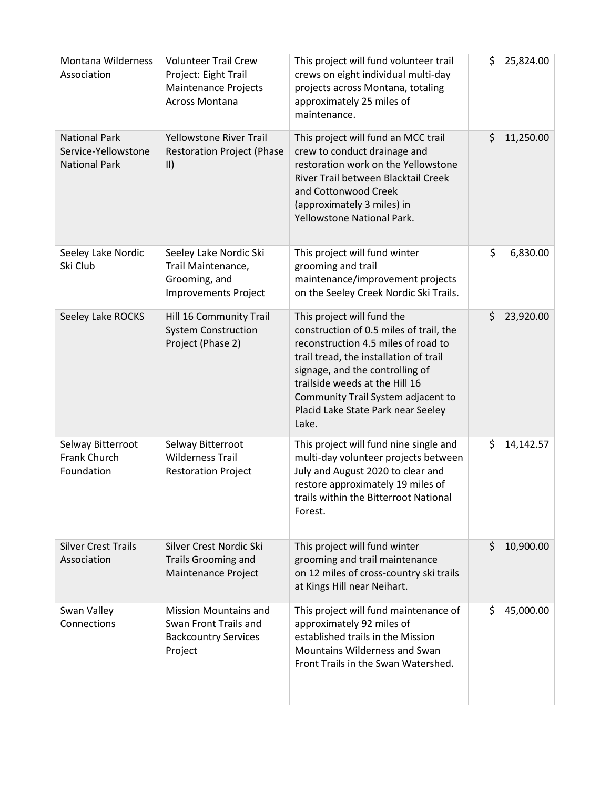| <b>Montana Wilderness</b><br>Association                            | <b>Volunteer Trail Crew</b><br>Project: Eight Trail<br><b>Maintenance Projects</b><br><b>Across Montana</b> | This project will fund volunteer trail<br>crews on eight individual multi-day<br>projects across Montana, totaling<br>approximately 25 miles of<br>maintenance.                                                                                                                                                  | \$ | 25,824.00 |
|---------------------------------------------------------------------|-------------------------------------------------------------------------------------------------------------|------------------------------------------------------------------------------------------------------------------------------------------------------------------------------------------------------------------------------------------------------------------------------------------------------------------|----|-----------|
| <b>National Park</b><br>Service-Yellowstone<br><b>National Park</b> | <b>Yellowstone River Trail</b><br><b>Restoration Project (Phase</b><br>$\vert \vert$                        | This project will fund an MCC trail<br>crew to conduct drainage and<br>restoration work on the Yellowstone<br>River Trail between Blacktail Creek<br>and Cottonwood Creek<br>(approximately 3 miles) in<br>Yellowstone National Park.                                                                            | \$ | 11,250.00 |
| Seeley Lake Nordic<br>Ski Club                                      | Seeley Lake Nordic Ski<br>Trail Maintenance,<br>Grooming, and<br><b>Improvements Project</b>                | This project will fund winter<br>grooming and trail<br>maintenance/improvement projects<br>on the Seeley Creek Nordic Ski Trails.                                                                                                                                                                                | \$ | 6,830.00  |
| Seeley Lake ROCKS                                                   | Hill 16 Community Trail<br><b>System Construction</b><br>Project (Phase 2)                                  | This project will fund the<br>construction of 0.5 miles of trail, the<br>reconstruction 4.5 miles of road to<br>trail tread, the installation of trail<br>signage, and the controlling of<br>trailside weeds at the Hill 16<br>Community Trail System adjacent to<br>Placid Lake State Park near Seeley<br>Lake. | \$ | 23,920.00 |
| Selway Bitterroot<br>Frank Church<br>Foundation                     | Selway Bitterroot<br><b>Wilderness Trail</b><br><b>Restoration Project</b>                                  | This project will fund nine single and<br>multi-day volunteer projects between<br>July and August 2020 to clear and<br>restore approximately 19 miles of<br>trails within the Bitterroot National<br>Forest.                                                                                                     | \$ | 14,142.57 |
| <b>Silver Crest Trails</b><br>Association                           | Silver Crest Nordic Ski<br><b>Trails Grooming and</b><br>Maintenance Project                                | This project will fund winter<br>grooming and trail maintenance<br>on 12 miles of cross-country ski trails<br>at Kings Hill near Neihart.                                                                                                                                                                        | Ś  | 10,900.00 |
| Swan Valley<br>Connections                                          | <b>Mission Mountains and</b><br>Swan Front Trails and<br><b>Backcountry Services</b><br>Project             | This project will fund maintenance of<br>approximately 92 miles of<br>established trails in the Mission<br>Mountains Wilderness and Swan<br>Front Trails in the Swan Watershed.                                                                                                                                  | \$ | 45,000.00 |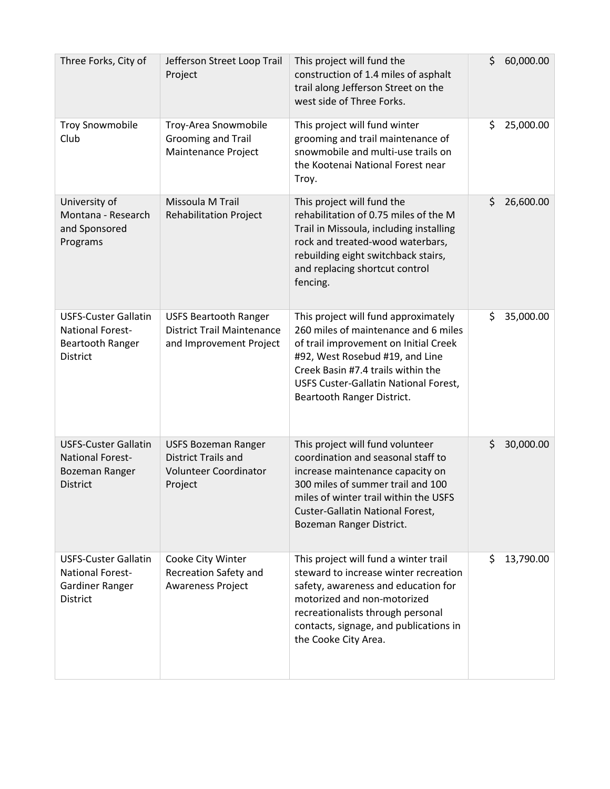| Three Forks, City of                                                                                 | Jefferson Street Loop Trail<br>Project                                                       | This project will fund the<br>construction of 1.4 miles of asphalt<br>trail along Jefferson Street on the<br>west side of Three Forks.                                                                                                                                | \$<br>60,000.00 |
|------------------------------------------------------------------------------------------------------|----------------------------------------------------------------------------------------------|-----------------------------------------------------------------------------------------------------------------------------------------------------------------------------------------------------------------------------------------------------------------------|-----------------|
| <b>Troy Snowmobile</b><br>Club                                                                       | Troy-Area Snowmobile<br><b>Grooming and Trail</b><br>Maintenance Project                     | This project will fund winter<br>grooming and trail maintenance of<br>snowmobile and multi-use trails on<br>the Kootenai National Forest near<br>Troy.                                                                                                                | \$<br>25,000.00 |
| University of<br>Montana - Research<br>and Sponsored<br>Programs                                     | Missoula M Trail<br><b>Rehabilitation Project</b>                                            | This project will fund the<br>rehabilitation of 0.75 miles of the M<br>Trail in Missoula, including installing<br>rock and treated-wood waterbars,<br>rebuilding eight switchback stairs,<br>and replacing shortcut control<br>fencing.                               | \$<br>26,600.00 |
| <b>USFS-Custer Gallatin</b><br><b>National Forest-</b><br><b>Beartooth Ranger</b><br><b>District</b> | <b>USFS Beartooth Ranger</b><br><b>District Trail Maintenance</b><br>and Improvement Project | This project will fund approximately<br>260 miles of maintenance and 6 miles<br>of trail improvement on Initial Creek<br>#92, West Rosebud #19, and Line<br>Creek Basin #7.4 trails within the<br>USFS Custer-Gallatin National Forest,<br>Beartooth Ranger District. | \$<br>35,000.00 |
| <b>USFS-Custer Gallatin</b><br><b>National Forest-</b><br>Bozeman Ranger<br><b>District</b>          | <b>USFS Bozeman Ranger</b><br><b>District Trails and</b><br>Volunteer Coordinator<br>Project | This project will fund volunteer<br>coordination and seasonal staff to<br>increase maintenance capacity on<br>300 miles of summer trail and 100<br>miles of winter trail within the USFS<br>Custer-Gallatin National Forest,<br>Bozeman Ranger District.              | \$<br>30,000.00 |
| <b>USFS-Custer Gallatin</b><br><b>National Forest-</b><br>Gardiner Ranger<br><b>District</b>         | Cooke City Winter<br>Recreation Safety and<br><b>Awareness Project</b>                       | This project will fund a winter trail<br>steward to increase winter recreation<br>safety, awareness and education for<br>motorized and non-motorized<br>recreationalists through personal<br>contacts, signage, and publications in<br>the Cooke City Area.           | \$<br>13,790.00 |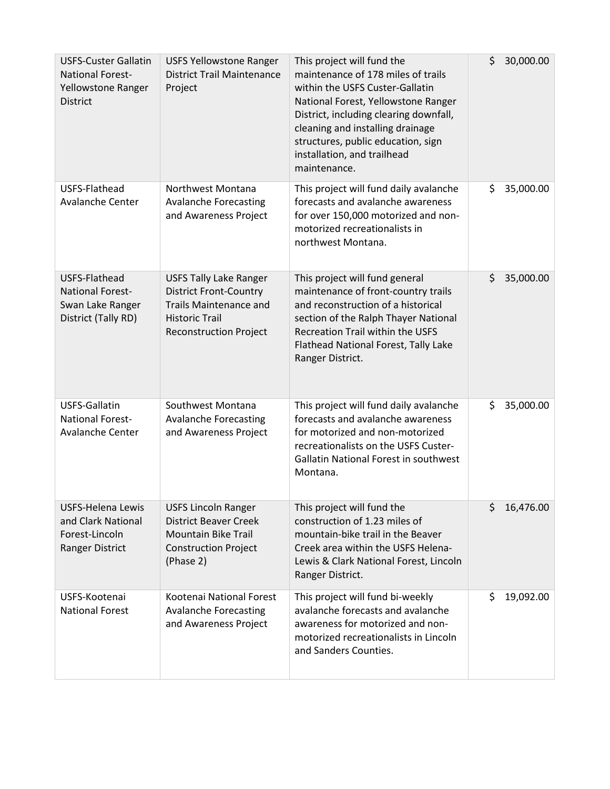| <b>USFS-Custer Gallatin</b><br><b>National Forest-</b><br>Yellowstone Ranger<br><b>District</b> | <b>USFS Yellowstone Ranger</b><br><b>District Trail Maintenance</b><br>Project                                                                            | This project will fund the<br>maintenance of 178 miles of trails<br>within the USFS Custer-Gallatin<br>National Forest, Yellowstone Ranger<br>District, including clearing downfall,<br>cleaning and installing drainage<br>structures, public education, sign<br>installation, and trailhead<br>maintenance. | \$<br>30,000.00 |
|-------------------------------------------------------------------------------------------------|-----------------------------------------------------------------------------------------------------------------------------------------------------------|---------------------------------------------------------------------------------------------------------------------------------------------------------------------------------------------------------------------------------------------------------------------------------------------------------------|-----------------|
| USFS-Flathead<br><b>Avalanche Center</b>                                                        | Northwest Montana<br><b>Avalanche Forecasting</b><br>and Awareness Project                                                                                | This project will fund daily avalanche<br>forecasts and avalanche awareness<br>for over 150,000 motorized and non-<br>motorized recreationalists in<br>northwest Montana.                                                                                                                                     | 35,000.00<br>\$ |
| USFS-Flathead<br><b>National Forest-</b><br>Swan Lake Ranger<br>District (Tally RD)             | <b>USFS Tally Lake Ranger</b><br><b>District Front-Country</b><br><b>Trails Maintenance and</b><br><b>Historic Trail</b><br><b>Reconstruction Project</b> | This project will fund general<br>maintenance of front-country trails<br>and reconstruction of a historical<br>section of the Ralph Thayer National<br>Recreation Trail within the USFS<br>Flathead National Forest, Tally Lake<br>Ranger District.                                                           | \$<br>35,000.00 |
| USFS-Gallatin<br><b>National Forest-</b><br>Avalanche Center                                    | Southwest Montana<br><b>Avalanche Forecasting</b><br>and Awareness Project                                                                                | This project will fund daily avalanche<br>forecasts and avalanche awareness<br>for motorized and non-motorized<br>recreationalists on the USFS Custer-<br><b>Gallatin National Forest in southwest</b><br>Montana.                                                                                            | \$<br>35,000.00 |
| <b>USFS-Helena Lewis</b><br>and Clark National<br>Forest-Lincoln<br>Ranger District             | <b>USFS Lincoln Ranger</b><br><b>District Beaver Creek</b><br><b>Mountain Bike Trail</b><br><b>Construction Project</b><br>(Phase 2)                      | This project will fund the<br>construction of 1.23 miles of<br>mountain-bike trail in the Beaver<br>Creek area within the USFS Helena-<br>Lewis & Clark National Forest, Lincoln<br>Ranger District.                                                                                                          | \$<br>16,476.00 |
| USFS-Kootenai<br><b>National Forest</b>                                                         | Kootenai National Forest<br><b>Avalanche Forecasting</b><br>and Awareness Project                                                                         | This project will fund bi-weekly<br>avalanche forecasts and avalanche<br>awareness for motorized and non-<br>motorized recreationalists in Lincoln<br>and Sanders Counties.                                                                                                                                   | \$<br>19,092.00 |